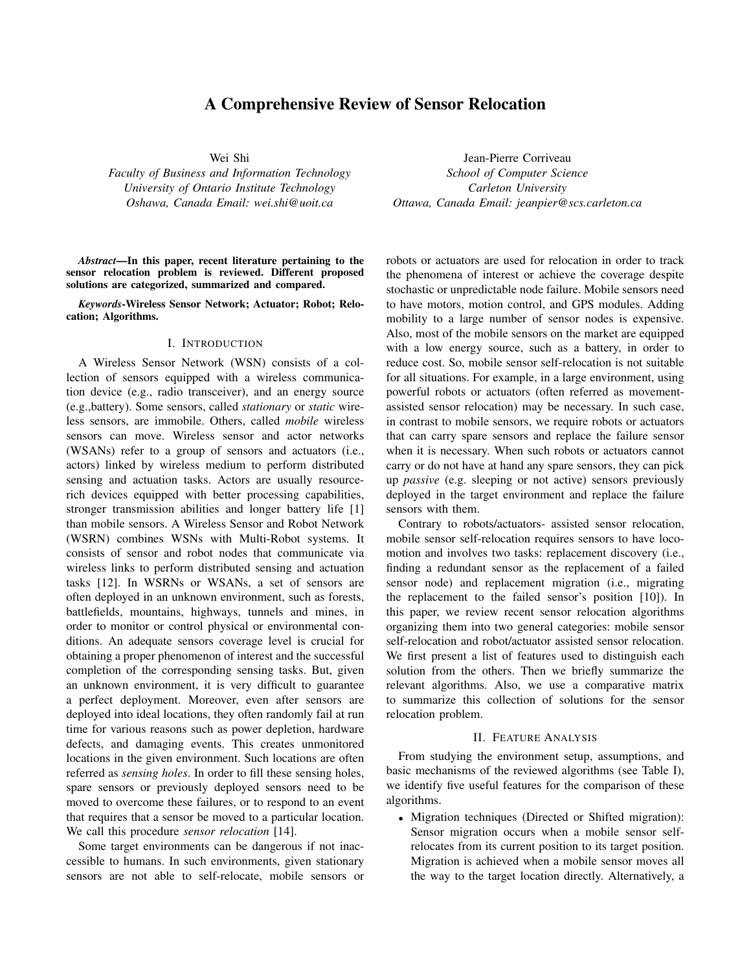# A Comprehensive Review of Sensor Relocation

Wei Shi

*Faculty of Business and Information Technology University of Ontario Institute Technology Oshawa, Canada Email: wei.shi@uoit.ca*

*Abstract*—In this paper, recent literature pertaining to the sensor relocation problem is reviewed. Different proposed solutions are categorized, summarized and compared.

*Keywords*-Wireless Sensor Network; Actuator; Robot; Relocation; Algorithms.

## I. INTRODUCTION

A Wireless Sensor Network (WSN) consists of a collection of sensors equipped with a wireless communication device (e.g., radio transceiver), and an energy source (e.g.,battery). Some sensors, called *stationary* or *static* wireless sensors, are immobile. Others, called *mobile* wireless sensors can move. Wireless sensor and actor networks (WSANs) refer to a group of sensors and actuators (i.e., actors) linked by wireless medium to perform distributed sensing and actuation tasks. Actors are usually resourcerich devices equipped with better processing capabilities, stronger transmission abilities and longer battery life [1] than mobile sensors. A Wireless Sensor and Robot Network (WSRN) combines WSNs with Multi-Robot systems. It consists of sensor and robot nodes that communicate via wireless links to perform distributed sensing and actuation tasks [12]. In WSRNs or WSANs, a set of sensors are often deployed in an unknown environment, such as forests, battlefields, mountains, highways, tunnels and mines, in order to monitor or control physical or environmental conditions. An adequate sensors coverage level is crucial for obtaining a proper phenomenon of interest and the successful completion of the corresponding sensing tasks. But, given an unknown environment, it is very difficult to guarantee a perfect deployment. Moreover, even after sensors are deployed into ideal locations, they often randomly fail at run time for various reasons such as power depletion, hardware defects, and damaging events. This creates unmonitored locations in the given environment. Such locations are often referred as *sensing holes*. In order to fill these sensing holes, spare sensors or previously deployed sensors need to be moved to overcome these failures, or to respond to an event that requires that a sensor be moved to a particular location. We call this procedure *sensor relocation* [14].

Some target environments can be dangerous if not inaccessible to humans. In such environments, given stationary sensors are not able to self-relocate, mobile sensors or

Jean-Pierre Corriveau *School of Computer Science Carleton University Ottawa, Canada Email: jeanpier@scs.carleton.ca*

robots or actuators are used for relocation in order to track the phenomena of interest or achieve the coverage despite stochastic or unpredictable node failure. Mobile sensors need to have motors, motion control, and GPS modules. Adding mobility to a large number of sensor nodes is expensive. Also, most of the mobile sensors on the market are equipped with a low energy source, such as a battery, in order to reduce cost. So, mobile sensor self-relocation is not suitable for all situations. For example, in a large environment, using powerful robots or actuators (often referred as movementassisted sensor relocation) may be necessary. In such case, in contrast to mobile sensors, we require robots or actuators that can carry spare sensors and replace the failure sensor when it is necessary. When such robots or actuators cannot carry or do not have at hand any spare sensors, they can pick up *passive* (e.g. sleeping or not active) sensors previously deployed in the target environment and replace the failure sensors with them.

Contrary to robots/actuators- assisted sensor relocation, mobile sensor self-relocation requires sensors to have locomotion and involves two tasks: replacement discovery (i.e., finding a redundant sensor as the replacement of a failed sensor node) and replacement migration (i.e., migrating the replacement to the failed sensor's position [10]). In this paper, we review recent sensor relocation algorithms organizing them into two general categories: mobile sensor self-relocation and robot/actuator assisted sensor relocation. We first present a list of features used to distinguish each solution from the others. Then we briefly summarize the relevant algorithms. Also, we use a comparative matrix to summarize this collection of solutions for the sensor relocation problem.

#### II. FEATURE ANALYSIS

From studying the environment setup, assumptions, and basic mechanisms of the reviewed algorithms (see Table I), we identify five useful features for the comparison of these algorithms.

• Migration techniques (Directed or Shifted migration): Sensor migration occurs when a mobile sensor selfrelocates from its current position to its target position. Migration is achieved when a mobile sensor moves all the way to the target location directly. Alternatively, a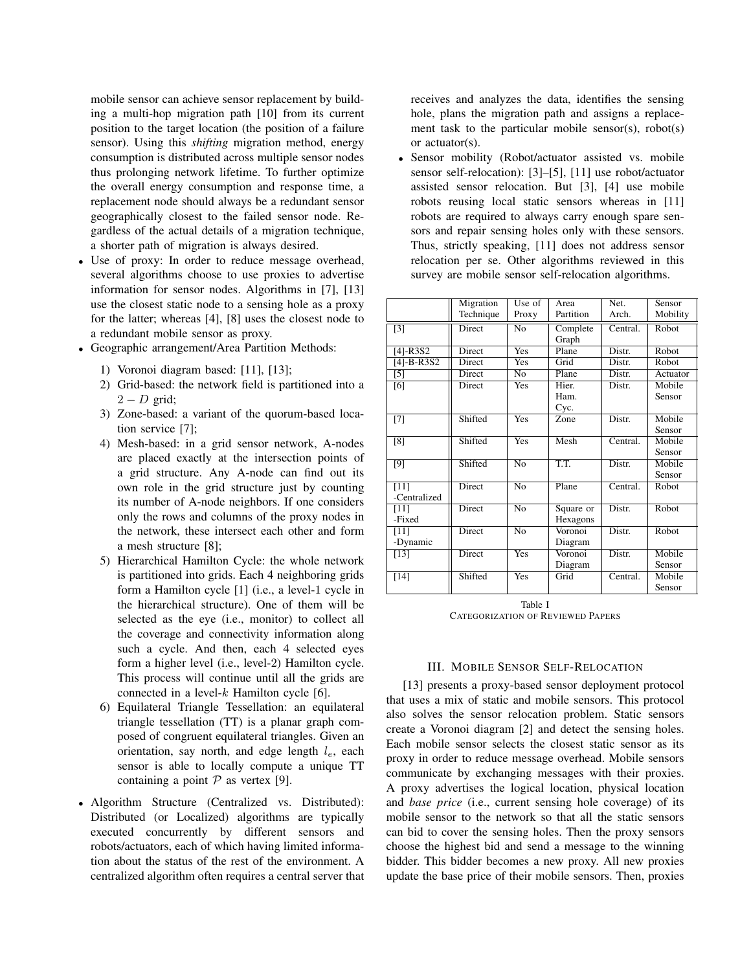mobile sensor can achieve sensor replacement by building a multi-hop migration path [10] from its current position to the target location (the position of a failure sensor). Using this *shifting* migration method, energy consumption is distributed across multiple sensor nodes thus prolonging network lifetime. To further optimize the overall energy consumption and response time, a replacement node should always be a redundant sensor geographically closest to the failed sensor node. Regardless of the actual details of a migration technique, a shorter path of migration is always desired.

- Use of proxy: In order to reduce message overhead, several algorithms choose to use proxies to advertise information for sensor nodes. Algorithms in [7], [13] use the closest static node to a sensing hole as a proxy for the latter; whereas [4], [8] uses the closest node to a redundant mobile sensor as proxy.
- Geographic arrangement/Area Partition Methods:
	- 1) Voronoi diagram based: [11], [13];
	- 2) Grid-based: the network field is partitioned into a  $2 - D$  grid;
	- 3) Zone-based: a variant of the quorum-based location service [7];
	- 4) Mesh-based: in a grid sensor network, A-nodes are placed exactly at the intersection points of a grid structure. Any A-node can find out its own role in the grid structure just by counting its number of A-node neighbors. If one considers only the rows and columns of the proxy nodes in the network, these intersect each other and form a mesh structure [8];
	- 5) Hierarchical Hamilton Cycle: the whole network is partitioned into grids. Each 4 neighboring grids form a Hamilton cycle [1] (i.e., a level-1 cycle in the hierarchical structure). One of them will be selected as the eye (i.e., monitor) to collect all the coverage and connectivity information along such a cycle. And then, each 4 selected eyes form a higher level (i.e., level-2) Hamilton cycle. This process will continue until all the grids are connected in a level- $k$  Hamilton cycle [6].
	- 6) Equilateral Triangle Tessellation: an equilateral triangle tessellation (TT) is a planar graph composed of congruent equilateral triangles. Given an orientation, say north, and edge length  $l_e$ , each sensor is able to locally compute a unique TT containing a point  $P$  as vertex [9].
- Algorithm Structure (Centralized vs. Distributed): Distributed (or Localized) algorithms are typically executed concurrently by different sensors and robots/actuators, each of which having limited information about the status of the rest of the environment. A centralized algorithm often requires a central server that

receives and analyzes the data, identifies the sensing hole, plans the migration path and assigns a replacement task to the particular mobile sensor(s), robot(s) or actuator(s).

Sensor mobility (Robot/actuator assisted vs. mobile sensor self-relocation): [3]–[5], [11] use robot/actuator assisted sensor relocation. But [3], [4] use mobile robots reusing local static sensors whereas in [11] robots are required to always carry enough spare sensors and repair sensing holes only with these sensors. Thus, strictly speaking, [11] does not address sensor relocation per se. Other algorithms reviewed in this survey are mobile sensor self-relocation algorithms.

|                | Migration     | Use of                    | Area      | Net.     | Sensor   |
|----------------|---------------|---------------------------|-----------|----------|----------|
|                | Technique     | Proxy                     | Partition | Arch.    | Mobility |
| $\overline{3}$ | Direct        | $\overline{No}$           | Complete  | Central. | Robot    |
|                |               |                           | Graph     |          |          |
| $[4]$ -R3S2    | <b>Direct</b> | <b>Yes</b>                | Plane     | Distr.   | Robot    |
| $[4]$ -B-R3S2  | <b>Direct</b> | Yes                       | Grid      | Distr.   | Robot    |
| $[5]$          | Direct        | N <sub>0</sub>            | Plane     | Distr.   | Actuator |
| [6]            | Direct        | $\overline{\mathrm{Yes}}$ | Hier.     | Distr.   | Mobile   |
|                |               |                           | Ham.      |          | Sensor   |
|                |               |                           | Cyc.      |          |          |
| $[7]$          | Shifted       | <b>Yes</b>                | Zone      | Distr.   | Mobile   |
|                |               |                           |           |          | Sensor   |
| [8]            | Shifted       | <b>Yes</b>                | Mesh      | Central. | Mobile   |
|                |               |                           |           |          | Sensor   |
| [9]            | Shifted       | N <sub>o</sub>            | T.T.      | Distr.   | Mobile   |
|                |               |                           |           |          | Sensor   |
| $[11]$         | Direct        | $\overline{No}$           | Plane     | Central. | Robot    |
| -Centralized   |               |                           |           |          |          |
| [11]           | Direct        | N <sub>o</sub>            | Square or | Distr.   | Robot    |
| -Fixed         |               |                           | Hexagons  |          |          |
| $[11]$         | Direct        | $\overline{No}$           | Voronoi   | Distr.   | Robot    |
| -Dynamic       |               |                           | Diagram   |          |          |
| $[13]$         | <b>Direct</b> | <b>Yes</b>                | Voronoi   | Distr.   | Mobile   |
|                |               |                           | Diagram   |          | Sensor   |
| $[14]$         | Shifted       | <b>Yes</b>                | Grid      | Central. | Mobile   |
|                |               |                           |           |          | Sensor   |

Table I CATEGORIZATION OF REVIEWED PAPERS

## III. MOBILE SENSOR SELF-RELOCATION

[13] presents a proxy-based sensor deployment protocol that uses a mix of static and mobile sensors. This protocol also solves the sensor relocation problem. Static sensors create a Voronoi diagram [2] and detect the sensing holes. Each mobile sensor selects the closest static sensor as its proxy in order to reduce message overhead. Mobile sensors communicate by exchanging messages with their proxies. A proxy advertises the logical location, physical location and *base price* (i.e., current sensing hole coverage) of its mobile sensor to the network so that all the static sensors can bid to cover the sensing holes. Then the proxy sensors choose the highest bid and send a message to the winning bidder. This bidder becomes a new proxy. All new proxies update the base price of their mobile sensors. Then, proxies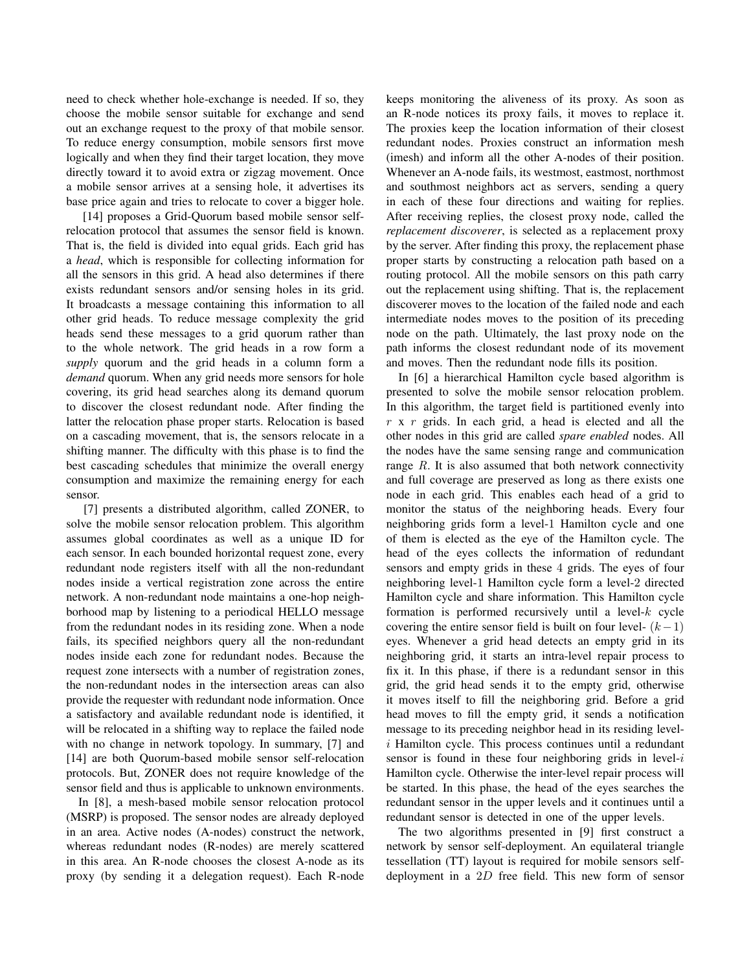need to check whether hole-exchange is needed. If so, they choose the mobile sensor suitable for exchange and send out an exchange request to the proxy of that mobile sensor. To reduce energy consumption, mobile sensors first move logically and when they find their target location, they move directly toward it to avoid extra or zigzag movement. Once a mobile sensor arrives at a sensing hole, it advertises its base price again and tries to relocate to cover a bigger hole.

[14] proposes a Grid-Quorum based mobile sensor selfrelocation protocol that assumes the sensor field is known. That is, the field is divided into equal grids. Each grid has a *head*, which is responsible for collecting information for all the sensors in this grid. A head also determines if there exists redundant sensors and/or sensing holes in its grid. It broadcasts a message containing this information to all other grid heads. To reduce message complexity the grid heads send these messages to a grid quorum rather than to the whole network. The grid heads in a row form a *supply* quorum and the grid heads in a column form a *demand* quorum. When any grid needs more sensors for hole covering, its grid head searches along its demand quorum to discover the closest redundant node. After finding the latter the relocation phase proper starts. Relocation is based on a cascading movement, that is, the sensors relocate in a shifting manner. The difficulty with this phase is to find the best cascading schedules that minimize the overall energy consumption and maximize the remaining energy for each sensor.

[7] presents a distributed algorithm, called ZONER, to solve the mobile sensor relocation problem. This algorithm assumes global coordinates as well as a unique ID for each sensor. In each bounded horizontal request zone, every redundant node registers itself with all the non-redundant nodes inside a vertical registration zone across the entire network. A non-redundant node maintains a one-hop neighborhood map by listening to a periodical HELLO message from the redundant nodes in its residing zone. When a node fails, its specified neighbors query all the non-redundant nodes inside each zone for redundant nodes. Because the request zone intersects with a number of registration zones, the non-redundant nodes in the intersection areas can also provide the requester with redundant node information. Once a satisfactory and available redundant node is identified, it will be relocated in a shifting way to replace the failed node with no change in network topology. In summary, [7] and [14] are both Quorum-based mobile sensor self-relocation protocols. But, ZONER does not require knowledge of the sensor field and thus is applicable to unknown environments.

In [8], a mesh-based mobile sensor relocation protocol (MSRP) is proposed. The sensor nodes are already deployed in an area. Active nodes (A-nodes) construct the network, whereas redundant nodes (R-nodes) are merely scattered in this area. An R-node chooses the closest A-node as its proxy (by sending it a delegation request). Each R-node keeps monitoring the aliveness of its proxy. As soon as an R-node notices its proxy fails, it moves to replace it. The proxies keep the location information of their closest redundant nodes. Proxies construct an information mesh (imesh) and inform all the other A-nodes of their position. Whenever an A-node fails, its westmost, eastmost, northmost and southmost neighbors act as servers, sending a query in each of these four directions and waiting for replies. After receiving replies, the closest proxy node, called the *replacement discoverer*, is selected as a replacement proxy by the server. After finding this proxy, the replacement phase proper starts by constructing a relocation path based on a routing protocol. All the mobile sensors on this path carry out the replacement using shifting. That is, the replacement discoverer moves to the location of the failed node and each intermediate nodes moves to the position of its preceding node on the path. Ultimately, the last proxy node on the path informs the closest redundant node of its movement and moves. Then the redundant node fills its position.

In [6] a hierarchical Hamilton cycle based algorithm is presented to solve the mobile sensor relocation problem. In this algorithm, the target field is partitioned evenly into  $r \times r$  grids. In each grid, a head is elected and all the other nodes in this grid are called *spare enabled* nodes. All the nodes have the same sensing range and communication range  $R$ . It is also assumed that both network connectivity and full coverage are preserved as long as there exists one node in each grid. This enables each head of a grid to monitor the status of the neighboring heads. Every four neighboring grids form a level-1 Hamilton cycle and one of them is elected as the eye of the Hamilton cycle. The head of the eyes collects the information of redundant sensors and empty grids in these 4 grids. The eyes of four neighboring level-1 Hamilton cycle form a level-2 directed Hamilton cycle and share information. This Hamilton cycle formation is performed recursively until a level-k cycle covering the entire sensor field is built on four level-  $(k-1)$ eyes. Whenever a grid head detects an empty grid in its neighboring grid, it starts an intra-level repair process to fix it. In this phase, if there is a redundant sensor in this grid, the grid head sends it to the empty grid, otherwise it moves itself to fill the neighboring grid. Before a grid head moves to fill the empty grid, it sends a notification message to its preceding neighbor head in its residing leveli Hamilton cycle. This process continues until a redundant sensor is found in these four neighboring grids in level- $i$ Hamilton cycle. Otherwise the inter-level repair process will be started. In this phase, the head of the eyes searches the redundant sensor in the upper levels and it continues until a redundant sensor is detected in one of the upper levels.

The two algorithms presented in [9] first construct a network by sensor self-deployment. An equilateral triangle tessellation (TT) layout is required for mobile sensors selfdeployment in a 2D free field. This new form of sensor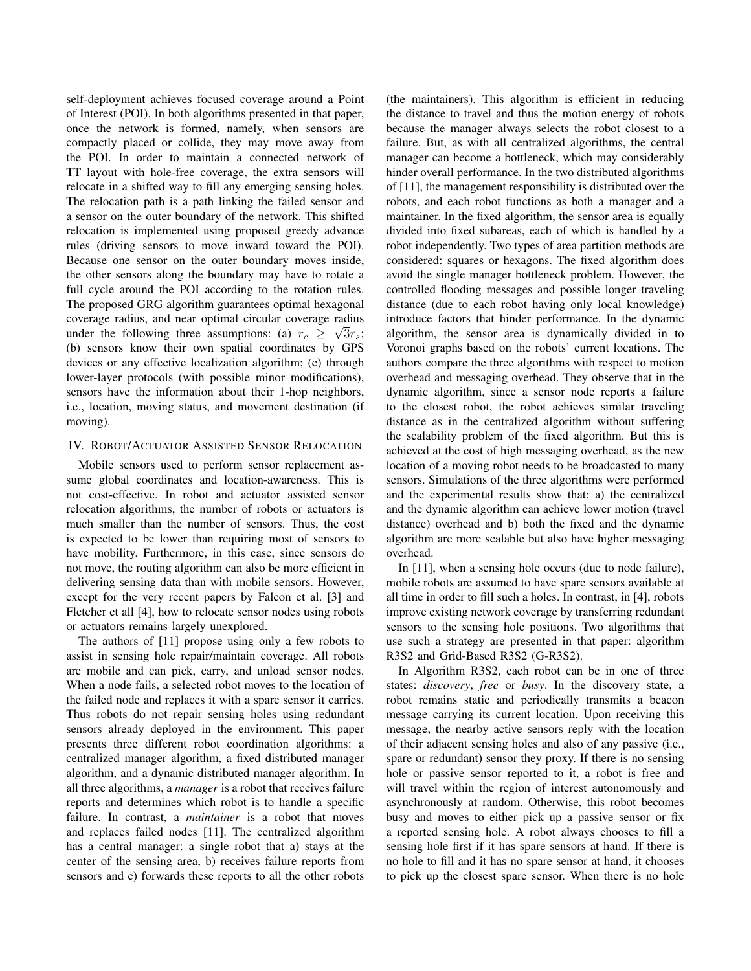self-deployment achieves focused coverage around a Point of Interest (POI). In both algorithms presented in that paper, once the network is formed, namely, when sensors are compactly placed or collide, they may move away from the POI. In order to maintain a connected network of TT layout with hole-free coverage, the extra sensors will relocate in a shifted way to fill any emerging sensing holes. The relocation path is a path linking the failed sensor and a sensor on the outer boundary of the network. This shifted relocation is implemented using proposed greedy advance rules (driving sensors to move inward toward the POI). Because one sensor on the outer boundary moves inside, the other sensors along the boundary may have to rotate a full cycle around the POI according to the rotation rules. The proposed GRG algorithm guarantees optimal hexagonal coverage radius, and near optimal circular coverage radius √ under the following three assumptions: (a)  $r_c \geq \sqrt{3}r_s$ ; (b) sensors know their own spatial coordinates by GPS devices or any effective localization algorithm; (c) through lower-layer protocols (with possible minor modifications), sensors have the information about their 1-hop neighbors, i.e., location, moving status, and movement destination (if moving).

#### IV. ROBOT/ACTUATOR ASSISTED SENSOR RELOCATION

Mobile sensors used to perform sensor replacement assume global coordinates and location-awareness. This is not cost-effective. In robot and actuator assisted sensor relocation algorithms, the number of robots or actuators is much smaller than the number of sensors. Thus, the cost is expected to be lower than requiring most of sensors to have mobility. Furthermore, in this case, since sensors do not move, the routing algorithm can also be more efficient in delivering sensing data than with mobile sensors. However, except for the very recent papers by Falcon et al. [3] and Fletcher et all [4], how to relocate sensor nodes using robots or actuators remains largely unexplored.

The authors of [11] propose using only a few robots to assist in sensing hole repair/maintain coverage. All robots are mobile and can pick, carry, and unload sensor nodes. When a node fails, a selected robot moves to the location of the failed node and replaces it with a spare sensor it carries. Thus robots do not repair sensing holes using redundant sensors already deployed in the environment. This paper presents three different robot coordination algorithms: a centralized manager algorithm, a fixed distributed manager algorithm, and a dynamic distributed manager algorithm. In all three algorithms, a *manager* is a robot that receives failure reports and determines which robot is to handle a specific failure. In contrast, a *maintainer* is a robot that moves and replaces failed nodes [11]. The centralized algorithm has a central manager: a single robot that a) stays at the center of the sensing area, b) receives failure reports from sensors and c) forwards these reports to all the other robots (the maintainers). This algorithm is efficient in reducing the distance to travel and thus the motion energy of robots because the manager always selects the robot closest to a failure. But, as with all centralized algorithms, the central manager can become a bottleneck, which may considerably hinder overall performance. In the two distributed algorithms of [11], the management responsibility is distributed over the robots, and each robot functions as both a manager and a maintainer. In the fixed algorithm, the sensor area is equally divided into fixed subareas, each of which is handled by a robot independently. Two types of area partition methods are considered: squares or hexagons. The fixed algorithm does avoid the single manager bottleneck problem. However, the controlled flooding messages and possible longer traveling distance (due to each robot having only local knowledge) introduce factors that hinder performance. In the dynamic algorithm, the sensor area is dynamically divided in to Voronoi graphs based on the robots' current locations. The authors compare the three algorithms with respect to motion overhead and messaging overhead. They observe that in the dynamic algorithm, since a sensor node reports a failure to the closest robot, the robot achieves similar traveling distance as in the centralized algorithm without suffering the scalability problem of the fixed algorithm. But this is achieved at the cost of high messaging overhead, as the new location of a moving robot needs to be broadcasted to many sensors. Simulations of the three algorithms were performed and the experimental results show that: a) the centralized and the dynamic algorithm can achieve lower motion (travel distance) overhead and b) both the fixed and the dynamic algorithm are more scalable but also have higher messaging overhead.

In [11], when a sensing hole occurs (due to node failure), mobile robots are assumed to have spare sensors available at all time in order to fill such a holes. In contrast, in [4], robots improve existing network coverage by transferring redundant sensors to the sensing hole positions. Two algorithms that use such a strategy are presented in that paper: algorithm R3S2 and Grid-Based R3S2 (G-R3S2).

In Algorithm R3S2, each robot can be in one of three states: *discovery*, *free* or *busy*. In the discovery state, a robot remains static and periodically transmits a beacon message carrying its current location. Upon receiving this message, the nearby active sensors reply with the location of their adjacent sensing holes and also of any passive (i.e., spare or redundant) sensor they proxy. If there is no sensing hole or passive sensor reported to it, a robot is free and will travel within the region of interest autonomously and asynchronously at random. Otherwise, this robot becomes busy and moves to either pick up a passive sensor or fix a reported sensing hole. A robot always chooses to fill a sensing hole first if it has spare sensors at hand. If there is no hole to fill and it has no spare sensor at hand, it chooses to pick up the closest spare sensor. When there is no hole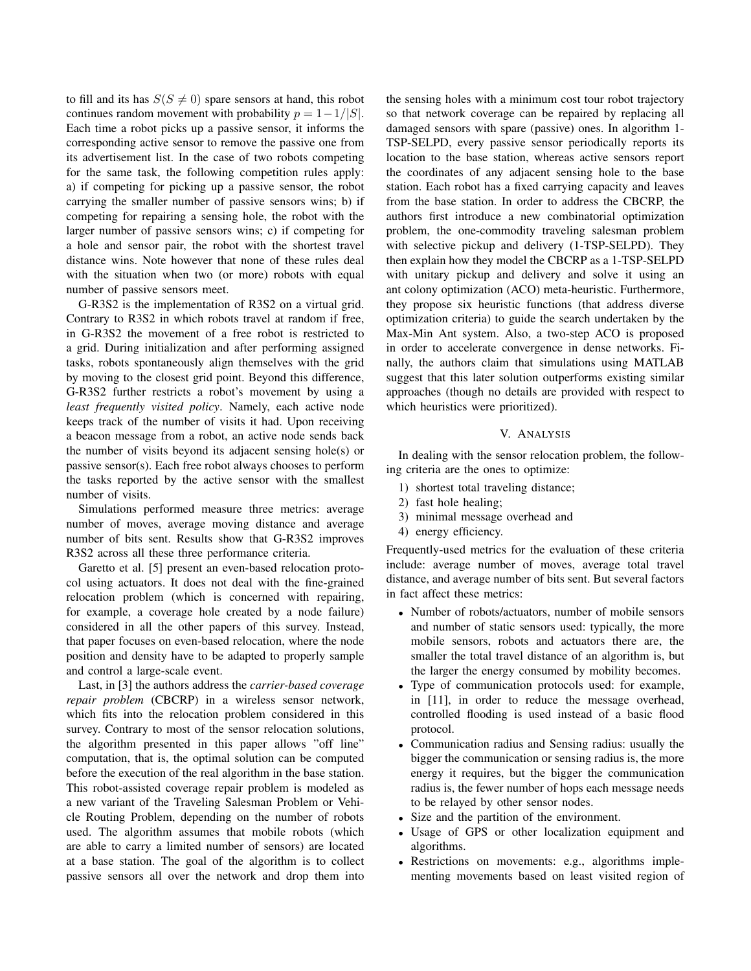to fill and its has  $S(S \neq 0)$  spare sensors at hand, this robot continues random movement with probability  $p = 1 - 1/|S|$ . Each time a robot picks up a passive sensor, it informs the corresponding active sensor to remove the passive one from its advertisement list. In the case of two robots competing for the same task, the following competition rules apply: a) if competing for picking up a passive sensor, the robot carrying the smaller number of passive sensors wins; b) if competing for repairing a sensing hole, the robot with the larger number of passive sensors wins; c) if competing for a hole and sensor pair, the robot with the shortest travel distance wins. Note however that none of these rules deal with the situation when two (or more) robots with equal number of passive sensors meet.

G-R3S2 is the implementation of R3S2 on a virtual grid. Contrary to R3S2 in which robots travel at random if free, in G-R3S2 the movement of a free robot is restricted to a grid. During initialization and after performing assigned tasks, robots spontaneously align themselves with the grid by moving to the closest grid point. Beyond this difference, G-R3S2 further restricts a robot's movement by using a *least frequently visited policy*. Namely, each active node keeps track of the number of visits it had. Upon receiving a beacon message from a robot, an active node sends back the number of visits beyond its adjacent sensing hole(s) or passive sensor(s). Each free robot always chooses to perform the tasks reported by the active sensor with the smallest number of visits.

Simulations performed measure three metrics: average number of moves, average moving distance and average number of bits sent. Results show that G-R3S2 improves R3S2 across all these three performance criteria.

Garetto et al. [5] present an even-based relocation protocol using actuators. It does not deal with the fine-grained relocation problem (which is concerned with repairing, for example, a coverage hole created by a node failure) considered in all the other papers of this survey. Instead, that paper focuses on even-based relocation, where the node position and density have to be adapted to properly sample and control a large-scale event.

Last, in [3] the authors address the *carrier-based coverage repair problem* (CBCRP) in a wireless sensor network, which fits into the relocation problem considered in this survey. Contrary to most of the sensor relocation solutions, the algorithm presented in this paper allows "off line" computation, that is, the optimal solution can be computed before the execution of the real algorithm in the base station. This robot-assisted coverage repair problem is modeled as a new variant of the Traveling Salesman Problem or Vehicle Routing Problem, depending on the number of robots used. The algorithm assumes that mobile robots (which are able to carry a limited number of sensors) are located at a base station. The goal of the algorithm is to collect passive sensors all over the network and drop them into the sensing holes with a minimum cost tour robot trajectory so that network coverage can be repaired by replacing all damaged sensors with spare (passive) ones. In algorithm 1- TSP-SELPD, every passive sensor periodically reports its location to the base station, whereas active sensors report the coordinates of any adjacent sensing hole to the base station. Each robot has a fixed carrying capacity and leaves from the base station. In order to address the CBCRP, the authors first introduce a new combinatorial optimization problem, the one-commodity traveling salesman problem with selective pickup and delivery (1-TSP-SELPD). They then explain how they model the CBCRP as a 1-TSP-SELPD with unitary pickup and delivery and solve it using an ant colony optimization (ACO) meta-heuristic. Furthermore, they propose six heuristic functions (that address diverse optimization criteria) to guide the search undertaken by the Max-Min Ant system. Also, a two-step ACO is proposed in order to accelerate convergence in dense networks. Finally, the authors claim that simulations using MATLAB suggest that this later solution outperforms existing similar approaches (though no details are provided with respect to which heuristics were prioritized).

### V. ANALYSIS

In dealing with the sensor relocation problem, the following criteria are the ones to optimize:

- 1) shortest total traveling distance;
- 2) fast hole healing;
- 3) minimal message overhead and
- 4) energy efficiency.

Frequently-used metrics for the evaluation of these criteria include: average number of moves, average total travel distance, and average number of bits sent. But several factors in fact affect these metrics:

- Number of robots/actuators, number of mobile sensors and number of static sensors used: typically, the more mobile sensors, robots and actuators there are, the smaller the total travel distance of an algorithm is, but the larger the energy consumed by mobility becomes.
- Type of communication protocols used: for example, in [11], in order to reduce the message overhead, controlled flooding is used instead of a basic flood protocol.
- Communication radius and Sensing radius: usually the bigger the communication or sensing radius is, the more energy it requires, but the bigger the communication radius is, the fewer number of hops each message needs to be relayed by other sensor nodes.
- Size and the partition of the environment.
- Usage of GPS or other localization equipment and algorithms.
- Restrictions on movements: e.g., algorithms implementing movements based on least visited region of